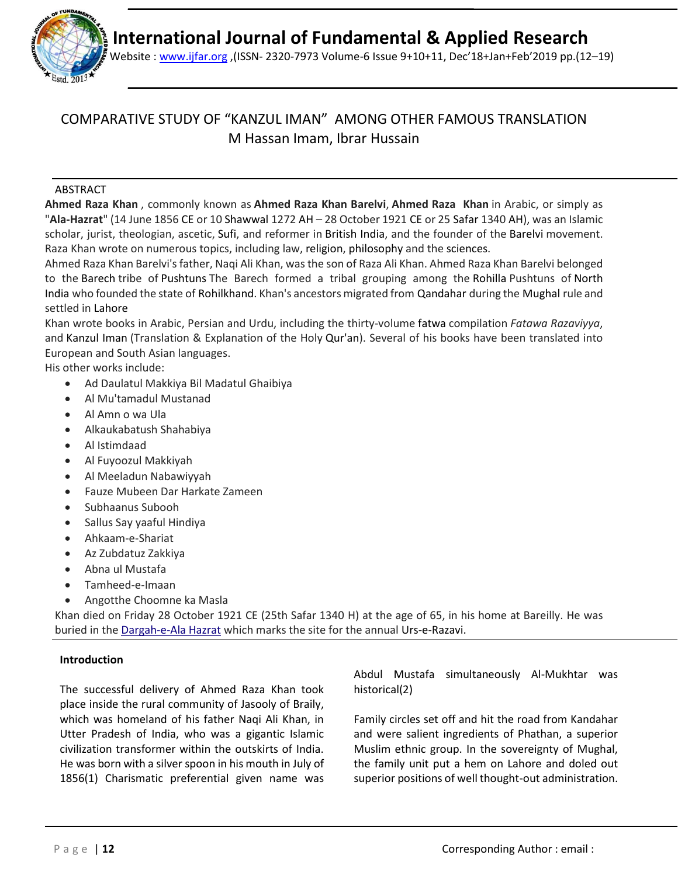



Website : [www.ijfar.org](http://www.ijfar.org/) ,(ISSN- 2320-7973 Volume-6 Issue 9+10+11, Dec'18+Jan+Feb'2019 pp.(12–19)

### COMPARATIVE STUDY OF "KANZUL IMAN" AMONG OTHER FAMOUS TRANSLATION M Hassan Imam, Ibrar Hussain

### ABSTRACT

**Ahmed Raza Khan** , commonly known as **Ahmed Raza Khan Barelvi**, **Ahmed Raza Khan** in Arabic, or simply as "**Ala-Hazrat**" (14 June 1856 CE or 10 Shawwal 1272 AH – 28 October 1921 CE or 25 Safar 1340 AH), was an Islamic scholar, jurist, theologian, ascetic, Sufi, and reformer in British India, and the founder of the Barelvi movement. Raza Khan wrote on numerous topics, including law, religion, philosophy and the sciences.

Ahmed Raza Khan Barelvi's father, Naqi Ali Khan, was the son of Raza Ali Khan. Ahmed Raza Khan Barelvi belonged to the Barech tribe of Pushtuns The Barech formed a tribal grouping among the Rohilla Pushtuns of North India who founded the state of Rohilkhand. Khan's ancestors migrated from Qandahar during the Mughal rule and settled in Lahore

Khan wrote books in Arabic, Persian and Urdu, including the thirty-volume fatwa compilation *Fatawa Razaviyya*, and Kanzul Iman (Translation & Explanation of the Holy Qur'an). Several of his books have been translated into European and South Asian languages.

His other works include:

- Ad Daulatul Makkiya Bil Madatul Ghaibiya
- Al Mu'tamadul Mustanad
- Al Amn o wa Ula
- Alkaukabatush Shahabiya
- Al Istimdaad
- Al Fuyoozul Makkiyah
- Al Meeladun Nabawiyyah
- Fauze Mubeen Dar Harkate Zameen
- Subhaanus Subooh
- Sallus Say yaaful Hindiya
- Ahkaam-e-Shariat
- Az Zubdatuz Zakkiya
- Abna ul Mustafa
- Tamheed-e-Imaan
- Angotthe Choomne ka Masla

Khan died on Friday 28 October 1921 CE (25th Safar 1340 H) at the age of 65, in his home at Bareilly. He was buried in the [Dargah-e-Ala Hazrat](https://en.wikipedia.org/wiki/Dargah-e-Ala_Hazrat) which marks the site for the annual Urs-e-Razavi.

### **Introduction**

The successful delivery of Ahmed Raza Khan took place inside the rural community of Jasooly of Braily, which was homeland of his father Naqi Ali Khan, in Utter Pradesh of India, who was a gigantic Islamic civilization transformer within the outskirts of India. He was born with a silver spoon in his mouth in July of 1856(1) Charismatic preferential given name was Abdul Mustafa simultaneously Al-Mukhtar was historical(2)

Family circles set off and hit the road from Kandahar and were salient ingredients of Phathan, a superior Muslim ethnic group. In the sovereignty of Mughal, the family unit put a hem on Lahore and doled out superior positions of well thought-out administration.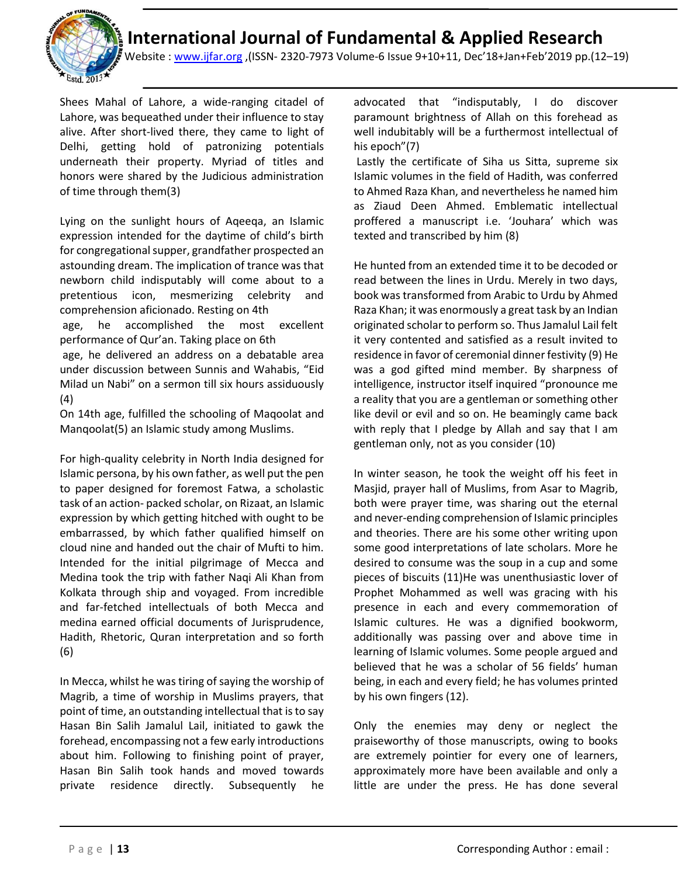

Website : [www.ijfar.org](http://www.ijfar.org/) ,(ISSN- 2320-7973 Volume-6 Issue 9+10+11, Dec'18+Jan+Feb'2019 pp.(12–19)

Shees Mahal of Lahore, a wide-ranging citadel of Lahore, was bequeathed under their influence to stay alive. After short-lived there, they came to light of Delhi, getting hold of patronizing potentials underneath their property. Myriad of titles and honors were shared by the Judicious administration of time through them(3)

Lying on the sunlight hours of Aqeeqa, an Islamic expression intended for the daytime of child's birth for congregational supper, grandfather prospected an astounding dream. The implication of trance was that newborn child indisputably will come about to a pretentious icon, mesmerizing celebrity and comprehension aficionado. Resting on 4th age, he accomplished the most excellent performance of Qur'an. Taking place on 6th age, he delivered an address on a debatable area under discussion between Sunnis and Wahabis, "Eid Milad un Nabi" on a sermon till six hours assiduously (4)

On 14th age, fulfilled the schooling of Maqoolat and Manqoolat(5) an Islamic study among Muslims.

For high-quality celebrity in North India designed for Islamic persona, by his own father, as well put the pen to paper designed for foremost Fatwa, a scholastic task of an action- packed scholar, on Rizaat, an Islamic expression by which getting hitched with ought to be embarrassed, by which father qualified himself on cloud nine and handed out the chair of Mufti to him. Intended for the initial pilgrimage of Mecca and Medina took the trip with father Naqi Ali Khan from Kolkata through ship and voyaged. From incredible and far-fetched intellectuals of both Mecca and medina earned official documents of Jurisprudence, Hadith, Rhetoric, Quran interpretation and so forth (6)

In Mecca, whilst he was tiring of saying the worship of Magrib, a time of worship in Muslims prayers, that point of time, an outstanding intellectual that is to say Hasan Bin Salih Jamalul Lail, initiated to gawk the forehead, encompassing not a few early introductions about him. Following to finishing point of prayer, Hasan Bin Salih took hands and moved towards private residence directly. Subsequently he

advocated that "indisputably, I do discover paramount brightness of Allah on this forehead as well indubitably will be a furthermost intellectual of his epoch"(7)

Lastly the certificate of Siha us Sitta, supreme six Islamic volumes in the field of Hadith, was conferred to Ahmed Raza Khan, and nevertheless he named him as Ziaud Deen Ahmed. Emblematic intellectual proffered a manuscript i.e. 'Jouhara' which was texted and transcribed by him (8)

He hunted from an extended time it to be decoded or read between the lines in Urdu. Merely in two days, book was transformed from Arabic to Urdu by Ahmed Raza Khan; it was enormously a great task by an Indian originated scholar to perform so. Thus Jamalul Lail felt it very contented and satisfied as a result invited to residence in favor of ceremonial dinner festivity (9) He was a god gifted mind member. By sharpness of intelligence, instructor itself inquired "pronounce me a reality that you are a gentleman or something other like devil or evil and so on. He beamingly came back with reply that I pledge by Allah and say that I am gentleman only, not as you consider (10)

In winter season, he took the weight off his feet in Masjid, prayer hall of Muslims, from Asar to Magrib, both were prayer time, was sharing out the eternal and never-ending comprehension of Islamic principles and theories. There are his some other writing upon some good interpretations of late scholars. More he desired to consume was the soup in a cup and some pieces of biscuits (11)He was unenthusiastic lover of Prophet Mohammed as well was gracing with his presence in each and every commemoration of Islamic cultures. He was a dignified bookworm, additionally was passing over and above time in learning of Islamic volumes. Some people argued and believed that he was a scholar of 56 fields' human being, in each and every field; he has volumes printed by his own fingers (12).

Only the enemies may deny or neglect the praiseworthy of those manuscripts, owing to books are extremely pointier for every one of learners, approximately more have been available and only a little are under the press. He has done several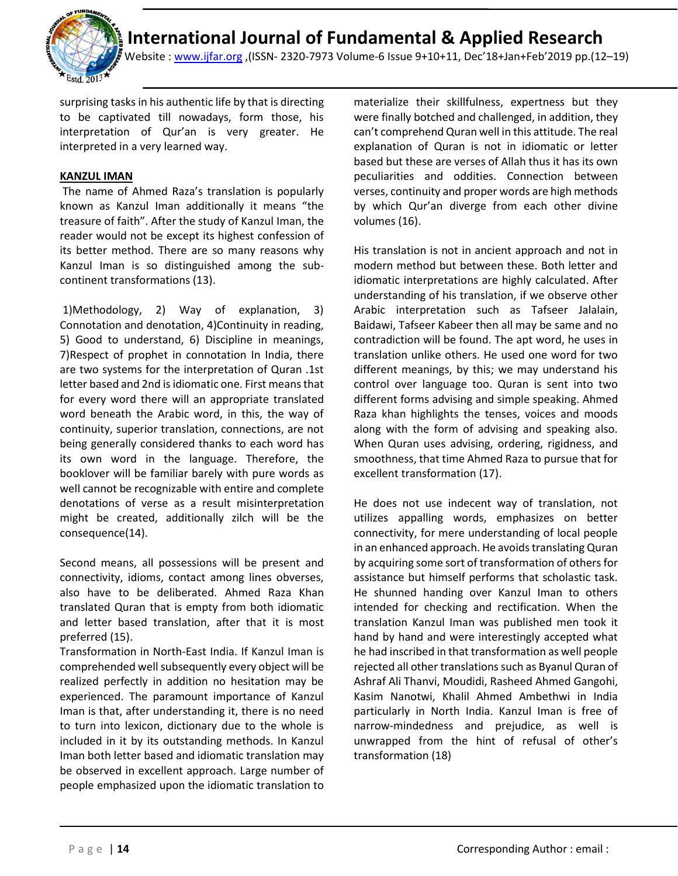

Website : [www.ijfar.org](http://www.ijfar.org/) ,(ISSN- 2320-7973 Volume-6 Issue 9+10+11, Dec'18+Jan+Feb'2019 pp.(12–19)

surprising tasks in his authentic life by that is directing to be captivated till nowadays, form those, his interpretation of Qur'an is very greater. He interpreted in a very learned way.

### **KANZUL IMAN**

The name of Ahmed Raza's translation is popularly known as Kanzul Iman additionally it means "the treasure of faith". After the study of Kanzul Iman, the reader would not be except its highest confession of its better method. There are so many reasons why Kanzul Iman is so distinguished among the subcontinent transformations (13).

1)Methodology, 2) Way of explanation, 3) Connotation and denotation, 4)Continuity in reading, 5) Good to understand, 6) Discipline in meanings, 7)Respect of prophet in connotation In India, there are two systems for the interpretation of Quran .1st letter based and 2nd is idiomatic one. First means that for every word there will an appropriate translated word beneath the Arabic word, in this, the way of continuity, superior translation, connections, are not being generally considered thanks to each word has its own word in the language. Therefore, the booklover will be familiar barely with pure words as well cannot be recognizable with entire and complete denotations of verse as a result misinterpretation might be created, additionally zilch will be the consequence(14).

Second means, all possessions will be present and connectivity, idioms, contact among lines obverses, also have to be deliberated. Ahmed Raza Khan translated Quran that is empty from both idiomatic and letter based translation, after that it is most preferred (15).

Transformation in North-East India. If Kanzul Iman is comprehended well subsequently every object will be realized perfectly in addition no hesitation may be experienced. The paramount importance of Kanzul Iman is that, after understanding it, there is no need to turn into lexicon, dictionary due to the whole is included in it by its outstanding methods. In Kanzul Iman both letter based and idiomatic translation may be observed in excellent approach. Large number of people emphasized upon the idiomatic translation to

materialize their skillfulness, expertness but they were finally botched and challenged, in addition, they can't comprehend Quran well in this attitude. The real explanation of Quran is not in idiomatic or letter based but these are verses of Allah thus it has its own peculiarities and oddities. Connection between verses, continuity and proper words are high methods by which Qur'an diverge from each other divine volumes (16).

His translation is not in ancient approach and not in modern method but between these. Both letter and idiomatic interpretations are highly calculated. After understanding of his translation, if we observe other Arabic interpretation such as Tafseer Jalalain, Baidawi, Tafseer Kabeer then all may be same and no contradiction will be found. The apt word, he uses in translation unlike others. He used one word for two different meanings, by this; we may understand his control over language too. Quran is sent into two different forms advising and simple speaking. Ahmed Raza khan highlights the tenses, voices and moods along with the form of advising and speaking also. When Quran uses advising, ordering, rigidness, and smoothness, that time Ahmed Raza to pursue that for excellent transformation (17).

He does not use indecent way of translation, not utilizes appalling words, emphasizes on better connectivity, for mere understanding of local people in an enhanced approach. He avoids translating Quran by acquiring some sort of transformation of others for assistance but himself performs that scholastic task. He shunned handing over Kanzul Iman to others intended for checking and rectification. When the translation Kanzul Iman was published men took it hand by hand and were interestingly accepted what he had inscribed in that transformation as well people rejected all other translations such as Byanul Quran of Ashraf Ali Thanvi, Moudidi, Rasheed Ahmed Gangohi, Kasim Nanotwi, Khalil Ahmed Ambethwi in India particularly in North India. Kanzul Iman is free of narrow-mindedness and prejudice, as well is unwrapped from the hint of refusal of other's transformation (18)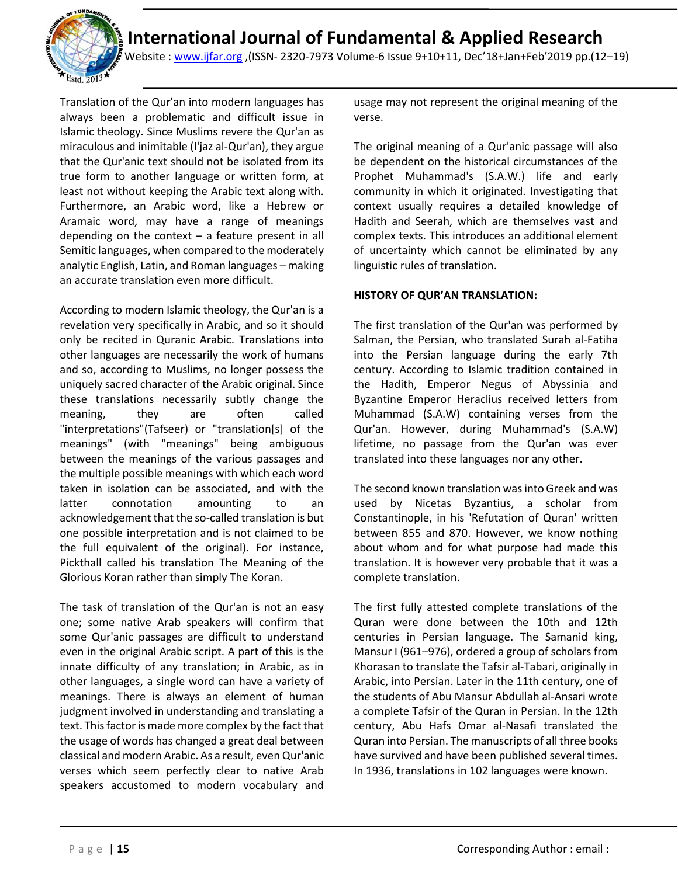

Website : [www.ijfar.org](http://www.ijfar.org/) ,(ISSN- 2320-7973 Volume-6 Issue 9+10+11, Dec'18+Jan+Feb'2019 pp.(12–19)

Translation of the Qur'an into modern languages has always been a problematic and difficult issue in Islamic theology. Since Muslims revere the Qur'an as miraculous and inimitable (I'jaz al-Qur'an), they argue that the Qur'anic text should not be isolated from its true form to another language or written form, at least not without keeping the Arabic text along with. Furthermore, an Arabic word, like a Hebrew or Aramaic word, may have a range of meanings depending on the context – a feature present in all Semitic languages, when compared to the moderately analytic English, Latin, and Roman languages – making an accurate translation even more difficult.

According to modern Islamic theology, the Qur'an is a revelation very specifically in Arabic, and so it should only be recited in Quranic Arabic. Translations into other languages are necessarily the work of humans and so, according to Muslims, no longer possess the uniquely sacred character of the Arabic original. Since these translations necessarily subtly change the meaning, they are often called "interpretations"(Tafseer) or "translation[s] of the meanings" (with "meanings" being ambiguous between the meanings of the various passages and the multiple possible meanings with which each word taken in isolation can be associated, and with the latter connotation amounting to an acknowledgement that the so-called translation is but one possible interpretation and is not claimed to be the full equivalent of the original). For instance, Pickthall called his translation The Meaning of the Glorious Koran rather than simply The Koran.

The task of translation of the Qur'an is not an easy one; some native Arab speakers will confirm that some Qur'anic passages are difficult to understand even in the original Arabic script. A part of this is the innate difficulty of any translation; in Arabic, as in other languages, a single word can have a variety of meanings. There is always an element of human judgment involved in understanding and translating a text. This factor is made more complex by the fact that the usage of words has changed a great deal between classical and modern Arabic. As a result, even Qur'anic verses which seem perfectly clear to native Arab speakers accustomed to modern vocabulary and

usage may not represent the original meaning of the verse.

The original meaning of a Qur'anic passage will also be dependent on the historical circumstances of the Prophet Muhammad's (S.A.W.) life and early community in which it originated. Investigating that context usually requires a detailed knowledge of Hadith and Seerah, which are themselves vast and complex texts. This introduces an additional element of uncertainty which cannot be eliminated by any linguistic rules of translation.

### **HISTORY OF QUR'AN TRANSLATION:**

The first translation of the Qur'an was performed by Salman, the Persian, who translated Surah al-Fatiha into the Persian language during the early 7th century. According to Islamic tradition contained in the Hadith, Emperor Negus of Abyssinia and Byzantine Emperor Heraclius received letters from Muhammad (S.A.W) containing verses from the Qur'an. However, during Muhammad's (S.A.W) lifetime, no passage from the Qur'an was ever translated into these languages nor any other.

The second known translation was into Greek and was used by Nicetas Byzantius, a scholar from Constantinople, in his 'Refutation of Quran' written between 855 and 870. However, we know nothing about whom and for what purpose had made this translation. It is however very probable that it was a complete translation.

The first fully attested complete translations of the Quran were done between the 10th and 12th centuries in Persian language. The Samanid king, Mansur I (961–976), ordered a group of scholars from Khorasan to translate the Tafsir al-Tabari, originally in Arabic, into Persian. Later in the 11th century, one of the students of Abu Mansur Abdullah al-Ansari wrote a complete Tafsir of the Quran in Persian. In the 12th century, Abu Hafs Omar al-Nasafi translated the Quran into Persian. The manuscripts of all three books have survived and have been published several times. In 1936, translations in 102 languages were known.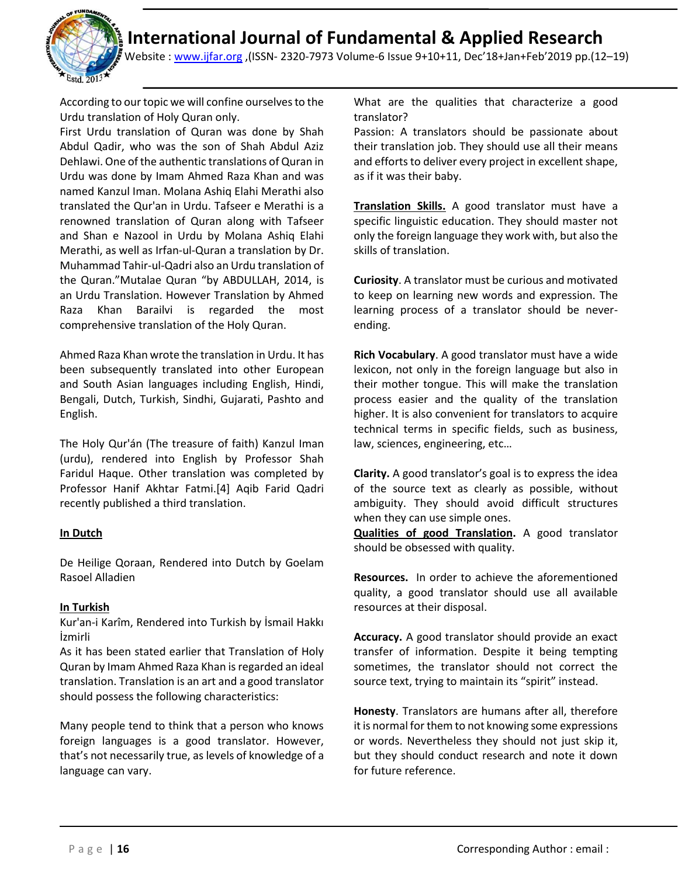

Website : [www.ijfar.org](http://www.ijfar.org/) ,(ISSN- 2320-7973 Volume-6 Issue 9+10+11, Dec'18+Jan+Feb'2019 pp.(12–19)

According to our topic we will confine ourselves to the Urdu translation of Holy Quran only.

First Urdu translation of Quran was done by Shah Abdul Qadir, who was the son of Shah Abdul Aziz Dehlawi. One of the authentic translations of Quran in Urdu was done by Imam Ahmed Raza Khan and was named Kanzul Iman. Molana Ashiq Elahi Merathi also translated the Qur'an in Urdu. Tafseer e Merathi is a renowned translation of Quran along with Tafseer and Shan e Nazool in Urdu by Molana Ashiq Elahi Merathi, as well as Irfan-ul-Quran a translation by Dr. Muhammad Tahir-ul-Qadri also an Urdu translation of the Quran."Mutalae Quran "by ABDULLAH, 2014, is an Urdu Translation. However Translation by Ahmed Raza Khan Barailvi is regarded the most comprehensive translation of the Holy Quran.

Ahmed Raza Khan wrote the translation in Urdu. It has been subsequently translated into other European and South Asian languages including English, Hindi, Bengali, Dutch, Turkish, Sindhi, Gujarati, Pashto and English.

The Holy Qur'án (The treasure of faith) Kanzul Iman (urdu), rendered into English by Professor Shah Faridul Haque. Other translation was completed by Professor Hanif Akhtar Fatmi.[4] Aqib Farid Qadri recently published a third translation.

### **In Dutch**

De Heilige Qoraan, Rendered into Dutch by Goelam Rasoel Alladien

### **In Turkish**

Kur'an-i Karîm, Rendered into Turkish by İsmail Hakkı İzmirli

As it has been stated earlier that Translation of Holy Quran by Imam Ahmed Raza Khan is regarded an ideal translation. Translation is an art and a good translator should possess the following characteristics:

Many people tend to think that a person who knows foreign languages is a good translator. However, that's not necessarily true, as levels of knowledge of a language can vary.

What are the qualities that characterize a good translator?

Passion: A translators should be passionate about their translation job. They should use all their means and efforts to deliver every project in excellent shape, as if it was their baby.

**Translation Skills.** A good translator must have a specific linguistic education. They should master not only the foreign language they work with, but also the skills of translation.

**Curiosity**. A translator must be curious and motivated to keep on learning new words and expression. The learning process of a translator should be neverending.

**Rich Vocabulary**. A good translator must have a wide lexicon, not only in the foreign language but also in their mother tongue. This will make the translation process easier and the quality of the translation higher. It is also convenient for translators to acquire technical terms in specific fields, such as business, law, sciences, engineering, etc…

**Clarity.** A good translator's goal is to express the idea of the source text as clearly as possible, without ambiguity. They should avoid difficult structures when they can use simple ones.

**Qualities of good Translation.** A good translator should be obsessed with quality.

**Resources.** In order to achieve the aforementioned quality, a good translator should use all available resources at their disposal.

**Accuracy.** A good translator should provide an exact transfer of information. Despite it being tempting sometimes, the translator should not correct the source text, trying to maintain its "spirit" instead.

**Honesty**. Translators are humans after all, therefore it is normal for them to not knowing some expressions or words. Nevertheless they should not just skip it, but they should conduct research and note it down for future reference.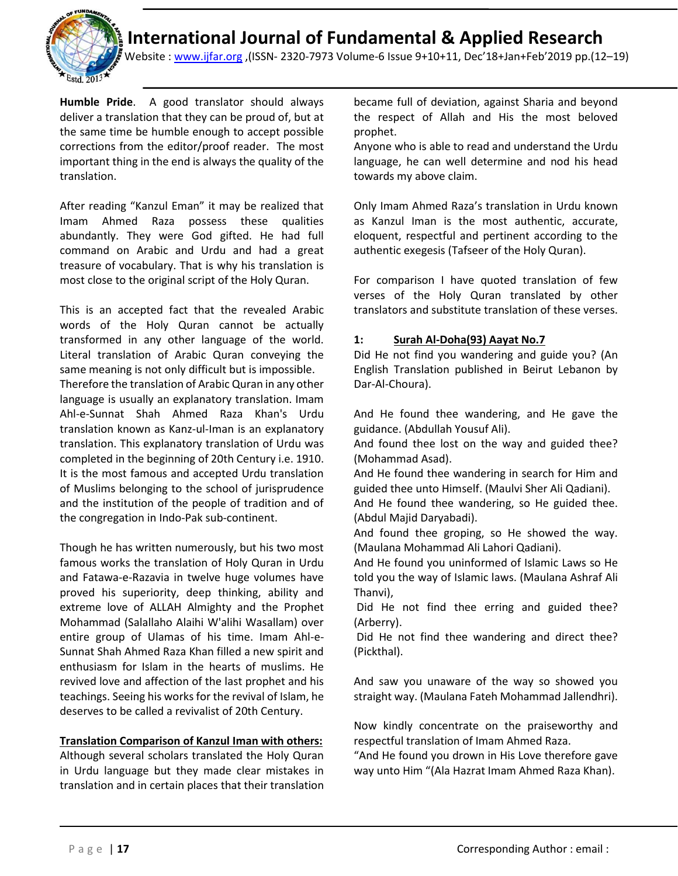

Website : [www.ijfar.org](http://www.ijfar.org/) ,(ISSN- 2320-7973 Volume-6 Issue 9+10+11, Dec'18+Jan+Feb'2019 pp.(12–19)

**Humble Pride**. A good translator should always deliver a translation that they can be proud of, but at the same time be humble enough to accept possible corrections from the editor/proof reader. The most important thing in the end is always the quality of the translation.

After reading "Kanzul Eman" it may be realized that Imam Ahmed Raza possess these qualities abundantly. They were God gifted. He had full command on Arabic and Urdu and had a great treasure of vocabulary. That is why his translation is most close to the original script of the Holy Quran.

This is an accepted fact that the revealed Arabic words of the Holy Quran cannot be actually transformed in any other language of the world. Literal translation of Arabic Quran conveying the same meaning is not only difficult but is impossible.

Therefore the translation of Arabic Quran in any other language is usually an explanatory translation. Imam Ahl-e-Sunnat Shah Ahmed Raza Khan's Urdu translation known as Kanz-ul-Iman is an explanatory translation. This explanatory translation of Urdu was completed in the beginning of 20th Century i.e. 1910. It is the most famous and accepted Urdu translation of Muslims belonging to the school of jurisprudence and the institution of the people of tradition and of the congregation in Indo-Pak sub-continent.

Though he has written numerously, but his two most famous works the translation of Holy Quran in Urdu and Fatawa-e-Razavia in twelve huge volumes have proved his superiority, deep thinking, ability and extreme love of ALLAH Almighty and the Prophet Mohammad (Salallaho Alaihi W'alihi Wasallam) over entire group of Ulamas of his time. Imam Ahl-e-Sunnat Shah Ahmed Raza Khan filled a new spirit and enthusiasm for Islam in the hearts of muslims. He revived love and affection of the last prophet and his teachings. Seeing his works for the revival of Islam, he deserves to be called a revivalist of 20th Century.

### **Translation Comparison of Kanzul Iman with others:**

Although several scholars translated the Holy Quran in Urdu language but they made clear mistakes in translation and in certain places that their translation

became full of deviation, against Sharia and beyond the respect of Allah and His the most beloved prophet.

Anyone who is able to read and understand the Urdu language, he can well determine and nod his head towards my above claim.

Only Imam Ahmed Raza's translation in Urdu known as Kanzul Iman is the most authentic, accurate, eloquent, respectful and pertinent according to the authentic exegesis (Tafseer of the Holy Quran).

For comparison I have quoted translation of few verses of the Holy Quran translated by other translators and substitute translation of these verses.

### **1: Surah Al-Doha(93) Aayat No.7**

Did He not find you wandering and guide you? (An English Translation published in Beirut Lebanon by Dar-Al-Choura).

And He found thee wandering, and He gave the guidance. (Abdullah Yousuf Ali).

And found thee lost on the way and guided thee? (Mohammad Asad).

And He found thee wandering in search for Him and guided thee unto Himself. (Maulvi Sher Ali Qadiani).

And He found thee wandering, so He guided thee. (Abdul Majid Daryabadi).

And found thee groping, so He showed the way. (Maulana Mohammad Ali Lahori Qadiani).

And He found you uninformed of Islamic Laws so He told you the way of Islamic laws. (Maulana Ashraf Ali Thanvi),

Did He not find thee erring and guided thee? (Arberry).

Did He not find thee wandering and direct thee? (Pickthal).

And saw you unaware of the way so showed you straight way. (Maulana Fateh Mohammad Jallendhri).

Now kindly concentrate on the praiseworthy and respectful translation of Imam Ahmed Raza.

"And He found you drown in His Love therefore gave way unto Him "(Ala Hazrat Imam Ahmed Raza Khan).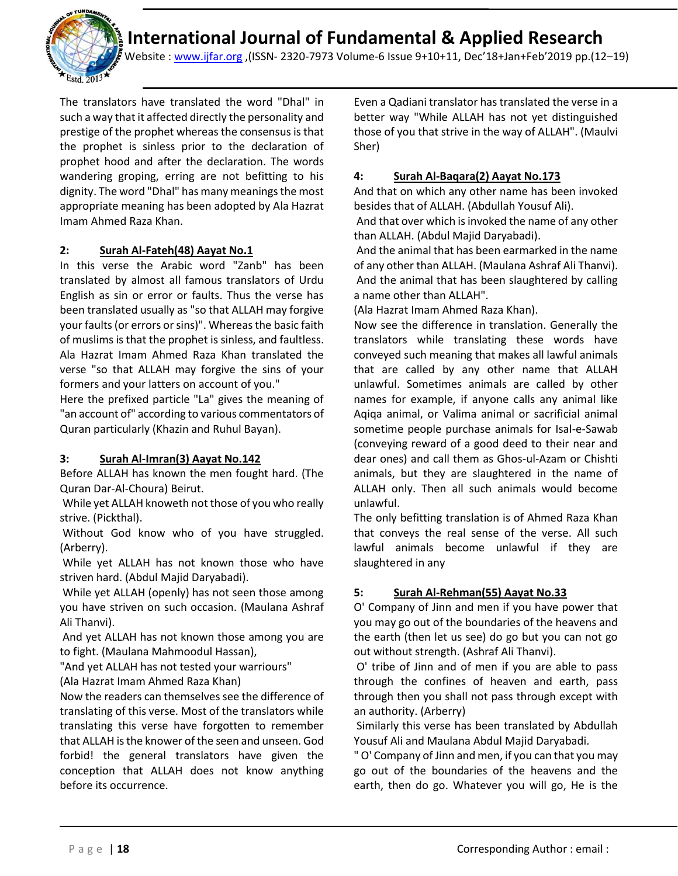

Website : [www.ijfar.org](http://www.ijfar.org/) ,(ISSN- 2320-7973 Volume-6 Issue 9+10+11, Dec'18+Jan+Feb'2019 pp.(12–19)

The translators have translated the word "Dhal" in such a way that it affected directly the personality and prestige of the prophet whereas the consensus is that the prophet is sinless prior to the declaration of prophet hood and after the declaration. The words wandering groping, erring are not befitting to his dignity. The word "Dhal" has many meanings the most appropriate meaning has been adopted by Ala Hazrat Imam Ahmed Raza Khan.

### **2: Surah Al-Fateh(48) Aayat No.1**

In this verse the Arabic word "Zanb" has been translated by almost all famous translators of Urdu English as sin or error or faults. Thus the verse has been translated usually as "so that ALLAH may forgive your faults (or errors or sins)". Whereas the basic faith of muslims is that the prophet is sinless, and faultless. Ala Hazrat Imam Ahmed Raza Khan translated the verse "so that ALLAH may forgive the sins of your formers and your latters on account of you."

Here the prefixed particle "La" gives the meaning of "an account of" according to various commentators of Quran particularly (Khazin and Ruhul Bayan).

### **3: Surah Al-Imran(3) Aayat No.142**

Before ALLAH has known the men fought hard. (The Quran Dar-Al-Choura) Beirut.

While yet ALLAH knoweth not those of you who really strive. (Pickthal).

Without God know who of you have struggled. (Arberry).

While yet ALLAH has not known those who have striven hard. (Abdul Majid Daryabadi).

While yet ALLAH (openly) has not seen those among you have striven on such occasion. (Maulana Ashraf Ali Thanvi).

And yet ALLAH has not known those among you are to fight. (Maulana Mahmoodul Hassan),

"And yet ALLAH has not tested your warriours"

(Ala Hazrat Imam Ahmed Raza Khan)

Now the readers can themselves see the difference of translating of this verse. Most of the translators while translating this verse have forgotten to remember that ALLAH is the knower of the seen and unseen. God forbid! the general translators have given the conception that ALLAH does not know anything before its occurrence.

Even a Qadiani translator has translated the verse in a better way "While ALLAH has not yet distinguished those of you that strive in the way of ALLAH". (Maulvi Sher)

### **4: Surah Al-Baqara(2) Aayat No.173**

And that on which any other name has been invoked besides that of ALLAH. (Abdullah Yousuf Ali).

And that over which is invoked the name of any other than ALLAH. (Abdul Majid Daryabadi).

And the animal that has been earmarked in the name of any other than ALLAH. (Maulana Ashraf Ali Thanvi). And the animal that has been slaughtered by calling a name other than ALLAH".

(Ala Hazrat Imam Ahmed Raza Khan).

Now see the difference in translation. Generally the translators while translating these words have conveyed such meaning that makes all lawful animals that are called by any other name that ALLAH unlawful. Sometimes animals are called by other names for example, if anyone calls any animal like Aqiqa animal, or Valima animal or sacrificial animal sometime people purchase animals for Isal-e-Sawab (conveying reward of a good deed to their near and dear ones) and call them as Ghos-ul-Azam or Chishti animals, but they are slaughtered in the name of ALLAH only. Then all such animals would become unlawful.

The only befitting translation is of Ahmed Raza Khan that conveys the real sense of the verse. All such lawful animals become unlawful if they are slaughtered in any

### **5: Surah Al-Rehman(55) Aayat No.33**

O' Company of Jinn and men if you have power that you may go out of the boundaries of the heavens and the earth (then let us see) do go but you can not go out without strength. (Ashraf Ali Thanvi).

O' tribe of Jinn and of men if you are able to pass through the confines of heaven and earth, pass through then you shall not pass through except with an authority. (Arberry)

Similarly this verse has been translated by Abdullah Yousuf Ali and Maulana Abdul Majid Daryabadi.

" O' Company of Jinn and men, if you can that you may go out of the boundaries of the heavens and the earth, then do go. Whatever you will go, He is the